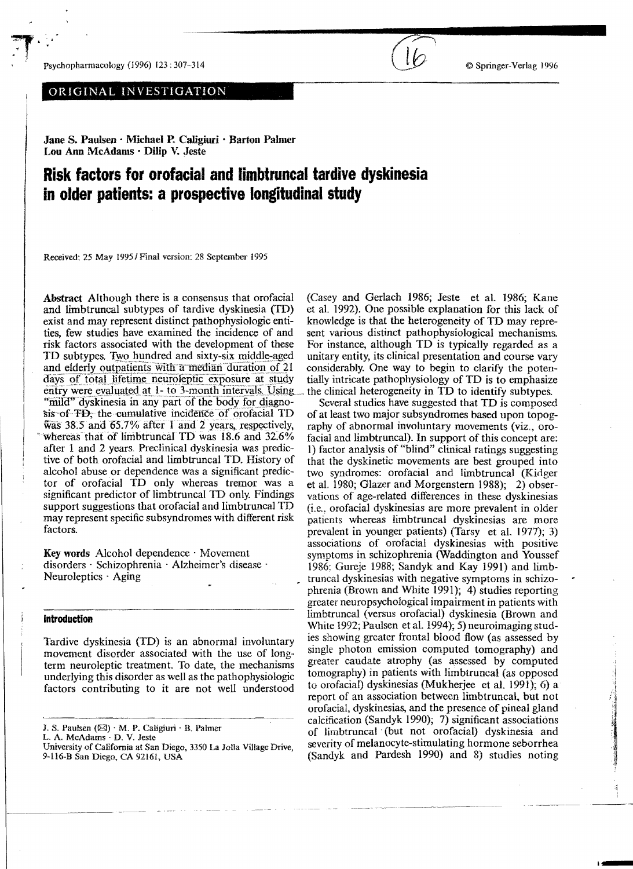Psychopharmacology (1996) 123: 307-314  $\bullet$  Springer-Verlag 1996

 $\mathbf{T}^{(k)}$ 

ORIGINAL INVESTIGATION

Jane S. Paulsen· Michael P. Caligiuri • Barton Palmer Lou Ann McAdams · Dilip V. Jeste

# **Risk factors for orofacial and limbtruncal tardive dyskinesia in older patients: a prospective longitudinal study**

Received: 25 May *19951* Final version: 28 September 1995

Abstract Although there is a consensus that orofacial and limbtruncal subtypes of tardive dyskinesia (TO) exist and may represent distinct pathophysiologic entities, few studies have examined the incidence of and risk factors associated with the development of these TD subtypes. Two hundred and sixty-six middle-aged and elderly outpatients with a median duration of 21 days of total lifetime neuroleptic exposure at study entry were evaluated at 1- to 3-month intervals. Using the clinical heterogeneity in TD to identify subtypes. "mild" dyskinesia in any part of the body for diagnosis of TD; the cumulative incidence of orofacial TD  $\frac{38.5}{38.5}$  and  $\frac{65.7}{%}$  after 1 and 2 years, respectively, whereas that of limbtruncal TD was 18.6 and 32.6% after 1 and 2 years. Preclinical dyskinesia was predictive of both orofacial and limbtruncal TD. History of alcohol abuse or dependence was a significant predictor of orofacial TD only whereas tremor was a significant predictor of limb truncal TD only. Findings support suggestions that orofacial and Iimbtruncal TD may represent specific subsyndromes with different risk factors.

Key words Alcohol dependence· Movement disorders . Schizophrenia . Alzheimer's disease . Neuroleptics . Aging

## **Introduction**

Tardive dyskinesia (TD) is an abnormal involuntary movement disorder associated with the use of longterm neuroleptic treatment. To date, the mechanisms underlying this disorder as well as the pathophysiologic factors contributing to it are not well understood

(Casey and Gerlach 1986; Jeste et a1. 1986; Kane et a1. 1992). One possible explanation for this lack of knowledge is that the heterogeneity of TD may represent various distinct pathophysiological mechanisms. For instance, although TD is typically regarded as a unitary entity, its clinical presentation and course vary considerably. One way to begin to clarify the potentially intricate pathophysiology of TD is to emphasize

Several studics have suggested that TD is composed of at least two major subsyndromes based upon topography of abnormal involuntary movements (viz., orofacial and limbtruncal). In support of this concept are: I) factor analysis of "blind" clinical ratings suggesting that the dyskinetic movements are best grouped into two syndromes: orofaciaI and limbtruncal (Kidger et a1. 1980; Glazer and Morgenstern 1988); 2) observations of age-related differences in these dyskinesias (i.e., orofacial dyskinesias are more prevalent in older patients whereas limbtruncal dyskinesias are more prevalent in younger patients) (Tarsy et a1. 1977); 3) associations of orofacial dyskinesias with positive symptoms in schizophrenia (Waddington and Youssef 1986: Gureje 1988; Sandyk and Kay 1991) and limbtruncal dyskinesias with negative symptoms in schizophrenia (Brown and White 1991); 4) studies reporting greater neuropsychological impairment in patients with limbtruncal (versus orofacial) dyskinesia (Brown and White 1992; Paulsen et a1. 1994); 5) neuroimaging studies showing greater frontal blood flow (as assessed by single photon emission computed tomography) and greater caudate atrophy (as assessed by computed tomography) in patients with 1imbtruncal (as opposed to orofacial) dyskinesias (Mukherjee et ai. 1991); 6) a report of an association between limbtruncal, but not orofacial, dyskinesias, and the presence of pineal gland calcification (Sandyk 1990); 7) significant associations of limbtruncal (but not orofacial) dyskinesia and severity of melanocyte-stimulating hormone seborrhea (Sandyk and Pardesh 1990) and 8) studies noting

J. S. Paulsen  $(\boxtimes) \cdot M$ . P. Caligiuri  $\cdot B$ . Palmer

L. A. McAdams · D. V. Jeste

University of California at San Diego, 3350 La Jolla Village Drive, 9-116-B San Diego, CA 92161, USA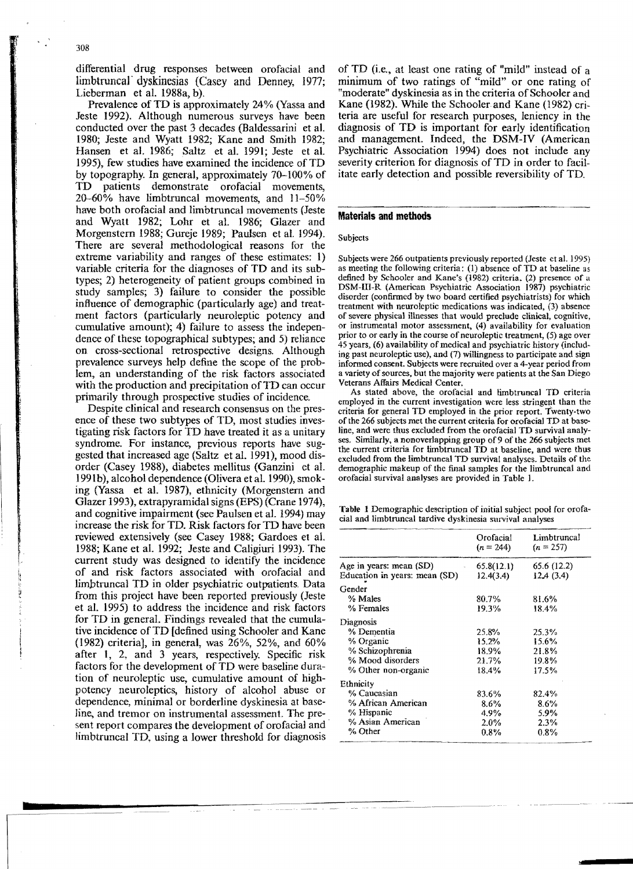differential drug responses between orofacial and limbtruncal dyskinesias (Casey and Denney, 1977; Lieberman et al. 1988a, b).

Prevalence of TD is approximately 24% (Yassa and Jeste 1992). Although numerous surveys have been conducted over the past 3 decades (Baldessarini et al. 1980; Jeste and Wyatt 1982; Kane and Smith 1982; Hansen et al. 1986; Saltz et aI. 1991; Jeste et aI. 1995), few studies have examined the incidence of TD by topography. In general, approximately 70-100% of TD patients demonstrate orofacial movements,  $20-60\%$  have limbtruncal movements, and  $11-50\%$ have both orofacial and limbtruncal movements (Jeste and Wyatt 1982; Lohr et aI. 1986; Glazer and Morgenstern 1988; Gureje 1989; Paulsen et al. 1994). There are several methodological reasons for the extreme variability and ranges of these estimates: I) variable criteria for the diagnoses of TD and its subtypes; 2) heterogeneity of patient groups combined in study samples; 3) failure to consider the possible influence of demographic (particularly age) and treatment factors (particularly neuroleptic potency and cumulative amount); 4) failure to assess the independence of these topographical subtypes; and 5) reliance on cross-sectional retrospective designs. Although prevalence surveys help define the scope of the problem, an understanding of the risk factors associated with the production and precipitation of TD can occur primarily through prospective studies of incidence.

Despite clinical and research consensus on the presence of these two subtypes of TD, most studies investigating risk factors for TD have treated it as a unitary syndrome. For instance, previous reports have suggested that increased age (Saltz et al. 1991), mood disorder (Casey 1988), diabetes mellitus (Ganzini et ai. 1991b), alcohol dependence (Olivera et aI. 1990), smoking (Yassa et al. 1987), ethnicity (Morgenstern and Glazer 1993), extrapyramidal signs (EPS) (Crane 1974), and cognitive impairment (see Paulsen et ai. 1994) may increase the risk for TO. Risk factors for TD have been reviewed extensively (see Casey 1988; Gardoes et aL 1988; Kane et al. 1992; Jeste and Caligiuri 1993). The current study was designed to identify the incidence of and risk factors associated with orofacial and limbtruncal TD in older psychiatric outpatients. Data from this project have been reported previously (Jeste et ai. 1995) to address the incidence and risk factors for TD in general. Findings revealed that the cumulative incidence ofTD [defined using Schooler and Kane (1982) criteria], in general, was 26%, 52%, and 60% after I, 2, and 3 years, respectively. Specific risk factors for the development of TD were baseline duration of neuroleptic use, cumulative amount of highpotency neuroleptics, history of alcohol abuse or dependence, minimal or borderline dyskinesia at baseline, and tremor on instrumental assessment. The present report compares the development of orofacial and Iimbtruncal TD, using a lower threshold for diagnosis

of TD (i.e., at least one rating of "mild" instead of a minimum of two ratings of "mild" or one rating of "moderate" dyskinesia as in the criteria of Schooler and Kane (1982). While the Schooler and Kane (1982) criteria are useful for research purposes, leniency in the diagnosis of TD is important for early identification and management. Indeed, the DSM-IV (American Psychiatric Assodation 1994) does not include any severity criterion for diagnosis of TD in order to facilitate early detection and possible reversibility of TD.

## **Materials ami methods**

## Subjects

Subjects were 266 outpatients previously reported (Jeste et al. 1995) as meeting the following criteria:  $(1)$  absence of TD at baseline as defined by Schooler and Kane's (1982) criteria, (2) presence of a DSM-I1I-R (American Psychiatric Association 1987) psychiatric disorder (continned by two board certified psychiatrists) for which treatment with neuroleptic medications was indicated, (3) absence of severe physical illnesses that would preclude clinical, cognitive, or instrumental motor assessment, (4) availability for evaluation prior to or early in the course of neuroleptic treatment, (5) age over 45 years, (6) availability of medical and psychiatric history (including past neuroleptic use), and (7) willingness to participate and sign infonned consent. Subjects were recruited over a 4-year period from a variety of sources, but the majority were patients at the San Diego Veterans Affairs Medical Center.

As stated above, the orofacial and limbtruncal TD criteria employed in the current investigation were less stringent than the criteria for general TD employed in the prior report. Twenty-two of the 266 subjects met the current criteria for orofacial TD at baseline, and were thus excluded from the orofacial TD survival analyses. Similarly, a nonoverlapping group of 9 of the 266 subjects met the current criteria for funbtruncal TD at baseline, and were thus excluded from the limbtruncal TD survival analyses. Details of the demographic makeup of the final samples for the limbtruncal and orofacial survival analyses are provided in Table I.

Table 1 Demographic description of initial subject pool for orofacial and limbtruncal tardive dyskinesia survival analyses

|                               | Orofacial<br>$(n = 244)$ | Limbtruncal<br>$(n = 257)$ |
|-------------------------------|--------------------------|----------------------------|
| Age in years: mean $(SD)$     | 65.8(12.1)               | 65.6 (12.2)                |
| Education in years: mean (SD) | 12.4(3.4)                | 12.4(3.4)                  |
| Gender                        |                          |                            |
| % Males                       | 80.7%                    | 81.6%                      |
| % Females                     | 19.3%                    | 18.4%                      |
| Diagnosis                     |                          |                            |
| % Dementia                    | 25.8%                    | 25.3%                      |
| % Organic                     | 15.2%                    | 15.6%                      |
| % Schizophrenia               | 18.9%                    | 21.8%                      |
| % Mood disorders              | 21.7%                    | 19.8%                      |
| % Other non-organic           | 18.4%                    | 17.5%                      |
| Ethnicity                     |                          |                            |
| % Caucasian                   | 83.6%                    | 82.4%                      |
| % African American            | $8.6\%$                  | 8.6%                       |
| % Hispanic                    | 4.9%                     | 5.9%                       |
| % Asian American              | $2.0\%$                  | 2.3%                       |
| % Other                       | $0.8\%$                  | $0.8\%$                    |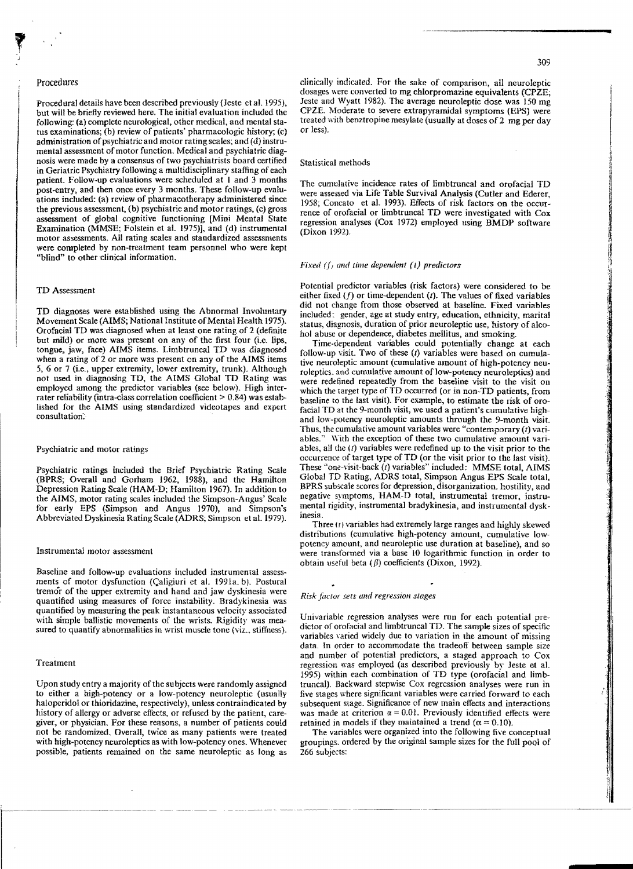### Procedures

Procedural details have been described previously (Jeste et al. 1995), but will be briefly reviewed here. The initial evaluation included the following: (a) complete neurological, other medical, and mental status examinations; (b) review of patients' pharmacologic history; (c) administration of psychiatric and motor rating scales; and  $(d)$  instrumental assessment of motor function. Medical and psychiatric diagnosis were made by a consensus of two psychiatrists board certified in Geriatric Psychiatry following a multidisciplinary staffing of each patient. Follow-up evaluations were scheduled at I and J months post-entry, and then once every J months. These follow-up evaluations included: (a) review of pharmacotherapy administered since the previous assessment, (b) psychiatric and motor ratings, (c) gross assessment of global cognitive functioning [Mini Mental State Examination (MMSE; Folstein et al. 1975)], and (d) instrumental motor assessments. All rating scales and standardized assessments were completed by non-treatment team personnel who were kept "blind" to other clinical information.

### TD Assessment

TD diagnoses were established using the Abnormal Involuntary Movement Scale (AIMS; National Institute of Mental Health 1975). Orofacia! TD was diagnosed when at least one rating of 2 (definite but mild) or more was present on any of the first four (i.e. lips, tongue, jaw, face) AIMS items. Umbtruncal TD was diagnosed when a rating of 2 Or more was present on any of the AIMS items 5, 6 or 7 (i.e., upper extremity, lower extremity, trunk). Although not used in diagnosing TD, the AIMS Global TD Rating was employed among the predictor variables (see below). High interrater reliability (intra-class correlation coefficient  $> 0.84$ ) was estab-Iished for the AIMS using standardized videotapes and expert consultation:

## Psychiatric and motor ratings

Psychiatric ratings included the Brief Psychiatric Rating Scale (BPRS; Overall and Gorham 1962, 1988), and the Hamilton Depression Rating Scale (HAM-D; Hamilton 1967). In addition to the AIMS, motor rating scales included the Simpson-Angus' Scale for early EPS (Simpson and Angus 1970), and Simpson's Abbreviated Dyskinesia Rating Scale (ADRS; Simpson et al. 1979).

### Instrumental motor assessment

Baseline and follow-up evaluations included instrumental assessments of motor dysfunction (Caligiuri et al. 1991a. b). Postural tremor of the upper extremity and hand and jaw dyskinesia were quantified using measures of force instability. Bradykinesia was quantified by measuring the peak instantaneous velocity associated with simple ballistic movements of the wrists. Rigidity was measured to quantify abnormalities in wrist muscle tone (viz., stiffness).

# Treatment

Upon study entry a majority of the subjects were randomly assigned to either a high-potency or a low-potency neuroleptic (usually haloperidol or thloridazine, respectively), unless contraindicated by history of allergy or adverse effects, or refused by the patient, caregiver, or physician. Eor these reasons, a number of patients could not be randomized. Overall, twice as many patients were treated with high-potency neuroleptics as with low-potency ones. Whenever possible, patients remained on the same neuroleptic as long as

clinically indicated. For the sake of comparison, all neuroleptic dosages were converted to mg chlorpromazine equivalents (CPZE; Jeste and Wyatt 1982). The average neuroleptic dose was 150 mg CPZE. Moderate to severe extrapyramidal symptoms (EPS) were treated with benztropine mesylate (usually at doses of 2 mg per day or Jess).

#### Statistical methods

The cumulative incidence rates of limbtruncal and orofacial TD were assessed via Life Table Survival Analysis (Cutler and Ederer, 1958; Concato et al. 1993). Effects of risk factors on the occurrence of orofacial or limbtruncal TD were investigated with Cox regression analyses (Cox 1972) employed using BMDP software (Dixon 1992).

## *Fixed*  $(f)$  and time dependent (1) predictors

Potential predictor variables (risk factors) were considered to be either fixed  $(f)$  or time-dependent  $(t)$ . The values of fixed variables did not change from those observed at baseline. Fixed variables included: gender, age at study entry, education, ethnicity, marital status, diagnosis, duration of prior neuroleptic use, history of alcohol abuse or dependence, diabetes mellitus, and smoking.

Time-dependent variables could potentially change at each follow-up visit. Two of these *(I)* variables were based on cumulative neuroleptic amount (cumulative amount of high-potency neuroleptics, and cumulative amount of low-potency neuroleptics) and were redefined repeatedly from the baseline visit to the visit on which the target type of TO occurred (or in non-TD patients, from baseline to the last visit). For example, to estimate the risk of orofacial TD at the 9-month visit, we used a patient's cumulative highand low-potency neuroleptic amounts through the 9-month visit. Thus, the cumulative amount variables were "contemporary *(t)* variables." With the exception of these two cumulative amount variables, all the  $(1)$  variables were redefined up to the visit prior to the occurrence of target type ofTD (or the visit prior to the last visit). These "onc-\'isit-back *(I)* variables" included: MMSE total, AIMS Global TD Rating, ADRS total, Simpson Angus EPS Seale total, BPRS subscale scores for depression, disorganization. hostility, and negative symptoms, HAM-D total, instrumental tremor, instrumental rigidity, instrumental bradykinesia, and instrumental dyskinesia.

Three  $(t)$  variables had extremely large ranges and highly skewed distributions (cumulative high-potency amount, cumulative lowpotency amount, and neuroleptic use duration at baseline), and so were transformed via a base 10 logarithmic function in order to obtain useful beta  $(\beta)$  coefficients (Dixon, 1992).

#### *Risk factor sets and regression stages*

Univariable regression analyses were run for each potential predictor of orofacial and limbtruncal TD. The sample sizes of specific variables yaried widely due to variation in the amount of missing data. In order to accommodate the tradeoff between sample size and number of potential predictors, a staged approach to Cox regression was employed (as described previously by Jeste et aL 1995) within each combination of TD type (orofacial and limbtruncal). Backward stepwise Cox regression analyses were run in five stages where significant variables were carried forward to each subsequent stage. Significance of new main effects and interactions was made at criterion  $\alpha = 0.01$ . Previously identified effects were retained in models if they maintained a trend ( $\alpha = 0.10$ ).

The variables were organized into the following five conceptual groupings. ordered by the original sample sizes for the full pool of 266 subjects: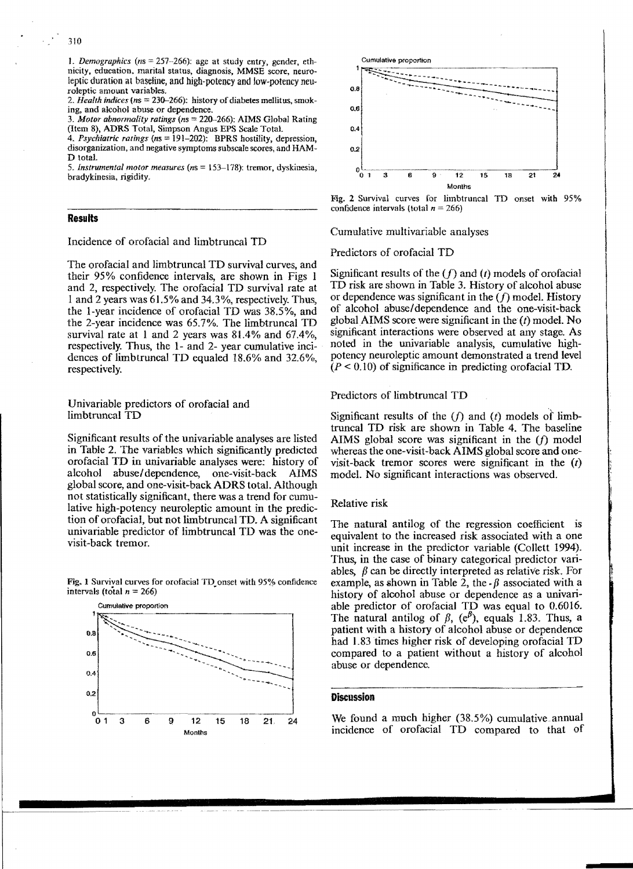J. *Demographics (ns* = 257~266): age at study entry, gender, ethnicity. education. marital status, diagnosis, MMSE score, neuroleptic duration at baseline, and high-potency and low-potency neuroleptic amount variables.

*2. Health indices* (ns = 230-266): bistory of diabetes mellitus, smoking, and alcohol abuse or dependence.

3. Motor abnormality ratings (ns = 220-266): AIMS Global Rating (Item 8), ADRS Total, Simpson Angus EPS Scale Total.

4. Psychiatric ratings (ns = 191-202): BPRS hostility, depression, disorganization, and negative symptoms subscale scores, and HAM-D 10ta1.

*5. Instrumental motor measures (ns* 153-178): tremor, dyskinesia, bradykinesia, rigidity.

# **Results**

Incidence of orofacial and limbtruncal TD

The orofaciaI and limbtruncal TD survival curves, and their 95% confidence intervals, are shown in Figs 1 and 2, respectively. The orofacial TD survival rate at 1 and 2 years was 61.5% and 34.3%, respectively. Thus, the I-year incidence of orofacial TD was 38.5%, and the 2-year incidence was 65.7%. The limbtruncal TD survival rate at 1 and 2 years was 8L4% and 67.4%, respectively. Thus, the 1- and 2- year cumulative incidences of limb truncal TD equaled 18.6% and 32.6%, respectively.

Univariable predictors of orofacial and limbtruncal TD

Significant results of the univariable analyses are listed in Table 2. The variables which significantly predicted oro facial TD in univariable analyses were: history of alcohol abuse/dependence, one-visit-back AIMS global score, and one-visit-back ADRS total. Although not statistically significant, there was a trend for cumulative high-potency neuroleptic amount in the prediction of orofacial, but not limbtruncal TD. A significant univariable predictor of limbtruncal TD was the onevisit-back tremor.

Fig. 1 Survival curves for orofacial TD onset with 95% confidence intervals (total  $n = 266$ )





Fig. 2 Survival curves for Iimbtruncal TD onset with 95% confidence intervals (total *n* = 266)

Cumulative multivariable analyses

Predictors of orofacial TD

Significant results of the *(f)* and *(t)* models of orofacial TD risk are shown in Table 3. History of alcohol abuse or dependence was significant in the  $(f)$  model. History of alcohol abuse/dependence and the one-visit-back global AIMS score were significant in the  $(t)$  model. No significant interactions were observed at any stage. As noted in the univariable analysis, cumulative highpotency neuroleptic amount demonstrated a trend level  $(P < 0.10)$  of significance in predicting orofacial TD.

Predictors of limbtruncal TD

Significant results of the  $(f)$  and  $(t)$  models of limbtruncal TD risk are shown in Table 4. The baseline AIMS global score was significant in the  $(f)$  model whereas the one-visit-back AIMS global score and onevisit-back tremor scores were significant in the *(t)*  model. No significant interactions was observed.

# Relative risk

The natural antilog of the regression coefficient is equivalent to the increased risk associated with a one unit increase in the predictor variable (Collett 1994). Thus, in the case of binary categorical predictor variables,  $\beta$  can be directly interpreted as relative risk. For example, as shown in Table 2, the  $-\beta$  associated with a history of alcohol abuse or dependence as a univariable predictor of orofacial TD was equal to 0.6016. The natural antilog of  $\beta$ ,  $(e^{b})$ , equals 1.83. Thus, a patient with a history of alcohol abuse or dependence had 1.83 times higher risk of developing orofacial TD compared to a patient without a history of alcohol abuse or dependence.

# **Discussion**

We found a much higher  $(38.5%)$  cumulative annual incidence of orofacial TD compared to that of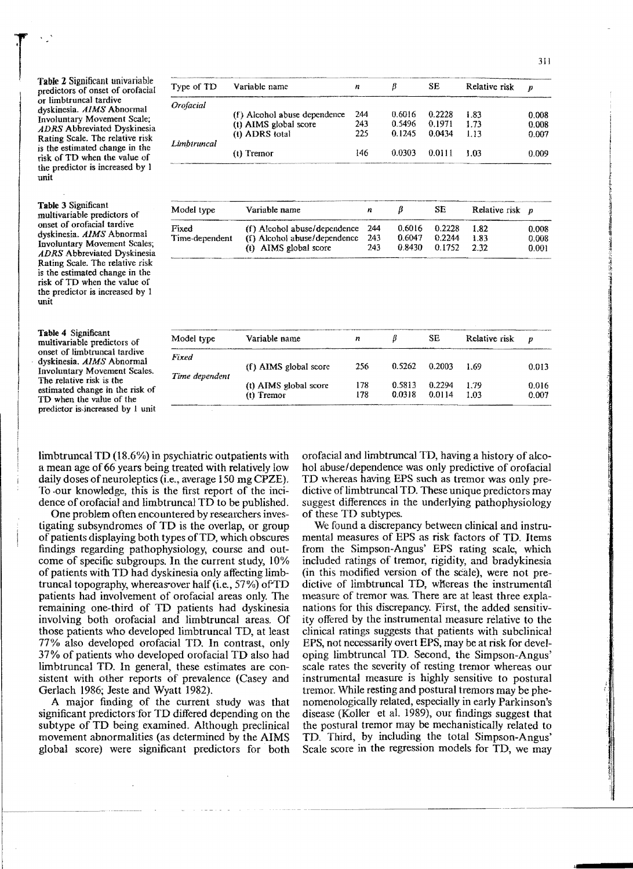Table 2 Significant univariable predictors of onset of orofacial or limbtruncal tardive dyskinesia. *AIMS* Abnormal Involuntary Movement Scale; *ADRS* Abbreviated Dyskinesia Rating Scale. The relative risk is the estimated change in the risk of TD when the value of the predictor is increased by 1 unit

Table J Significant multivariable predictors of onset of orofacial tardive dyskinesia. *AIMS* Abnormal Involuntary Movement Scales; *ADRS* Abbreviated Dyskinesia Rating Scale. The relative risk is the estimated change in the risk of TD when the value of the predictor is increased by 1 unit

Table 4 Significant multivariable predictors of onset of Iimbtruncal tardive , dyskinesia. *AIMS* Abnormal Involuntary Movement Scales. The relative risk is the estimated change in the risk of TO when the value of the predictor is,jncreased by I unit

|                                                                            |             |                              |     |        |        |               | 311   |
|----------------------------------------------------------------------------|-------------|------------------------------|-----|--------|--------|---------------|-------|
| <b>Table 2 Significant univariable</b><br>predictors of onset of orofacial | Type of TD  | Variable name                | n   |        | SЕ     | Relative risk |       |
| or limbtruncal tardive                                                     | Orofacial   |                              |     |        |        |               |       |
| dyskinesia. AIMS Abnormal                                                  |             | (f) Alcohol abuse dependence | 244 | 0.6016 | 0.2228 | 1.83          | 0.008 |
| Involuntary Movement Scale;                                                |             | (t) AIMS global score        | 243 | 0.5496 | 0.1971 | 1.73          | 0.008 |
| <b>ADRS</b> Abbreviated Dyskinesia<br>Rating Scale. The relative risk      |             | (t) ADRS total               | 225 | 0.1245 | 0.0434 | 1.13          | 0.007 |
| is the estimated change in the<br>risk of TD when the value of             | Limbtruncal | $(t)$ Tremor                 | 146 | 0.0303 | 0.0111 | 1.03          | 0.009 |
| the predictor is increased by 1                                            |             |                              |     |        |        |               |       |

| Model type     | Variable name                      | n    |        | SЕ     | Relative risk $p$ |       |
|----------------|------------------------------------|------|--------|--------|-------------------|-------|
| Fixed          | $(f)$ Alcohol abuse/dependence 244 |      | 0.6016 | 0.2228 | 1.82              | 0.008 |
| Time-dependent | (f) Alcohol abuse/dependence       | -243 | 0.6047 | 0.2244 | 1.83              | 0.008 |
|                | (t) AIMS global score              | 243  | 0.8430 | 0.1752 | 232               | 0.001 |

| Model type     | Variable name         | n   | IJ     | SЕ     | Relative risk | $\overline{D}$ |
|----------------|-----------------------|-----|--------|--------|---------------|----------------|
| Fixed          |                       |     |        |        |               |                |
|                | (f) AIMS global score | 256 | 0.5262 | 0.2003 | 1.69          | 0.013          |
| Time dependent |                       |     |        |        |               |                |
|                | (t) AIMS global score | 178 | 0.5813 | 0.2294 | 1.79          | 0.016          |
|                | $(t)$ Tremor          | 178 | 0.0318 | 0.0114 | 1 03          | 0.007          |

limbtruncal TO (18.6%) in psychiatric outpatients with a mean age of 66 years being treated with relatively low daily doses of neuroleptics (i.e., average 150 mg CPZE). To -our knowledge, this is the first report of the incidence of orofacial and limbtruncal TD to be published.

One problem often encountered by researchers investigating subsyndromes of TD is the overlap, or group of patients displaying both types ofTD, which obscures findings regarding pathophysiology, course and outcome of specific subgroups. In the current study, 10% of patients with TD had dyskinesia only affecting limbtruncal topography, whereas over half (i.e., 57%) of TD patients had involvement of orofacial areas only. The remaining one-third of TD patients had dyskinesia involving both orofacial and limb truncal areas. Of those patients who developed limbtruncal TD, at least 77% also developed orofacial TD. In contrast, only 37% of patients who developed orofacial TD also had limb truncal TD. In general, these estimates are consistent with other reports of prevalence (Casey and Gerlach 1986; Jeste and Wyatt 1982).

A major finding of the current study was that significant predictors for TD differed depending on the subtype of TO being examined. Although preclinical movement abnormalities (as determined by the AIMS global score) were significant predictors for both orofacial and limbtruncal TD, having a history of alcohol abuse/dependence was only predictive of orofacial TD whereas having EPS such as tremor was only predictive of limbtruncal TD. These unique predictors may suggest differences in the underlying pathophysiology of these TD subtypes.

We found a discrepancy between clinical and instrumental measures of EPS as risk factors of TO. Items from the Simpson-Angus' EPS rating scale, which included ratings of tremor, rigidity, and bradykinesia (in this modified version of the scale), were not predictive of limbtruncal TO, wHereas the instrumenta1 measure of tremor was. There are at least three explanations for this discrepancy. First, the added sensitivity offered by the instrumental measure relative to the clinical ratings suggests that patients with subclinical EPS, not necessarily overt EPS, may be at risk for developing limbtruncal TD. Second, the Simpson-Angus' scale rates the severity of resting tremor whereas our instrumental measure is highly sensitive to postural tremor. While resting and postural tremors may be phenomenologically related, especially in early Parkinson's disease (Koller et al. 1989), our findings suggest that the postural tremor may be mechanistically related to TD. Third, by including the total Simpson-Angus' Scale score in the regression models for TD, we may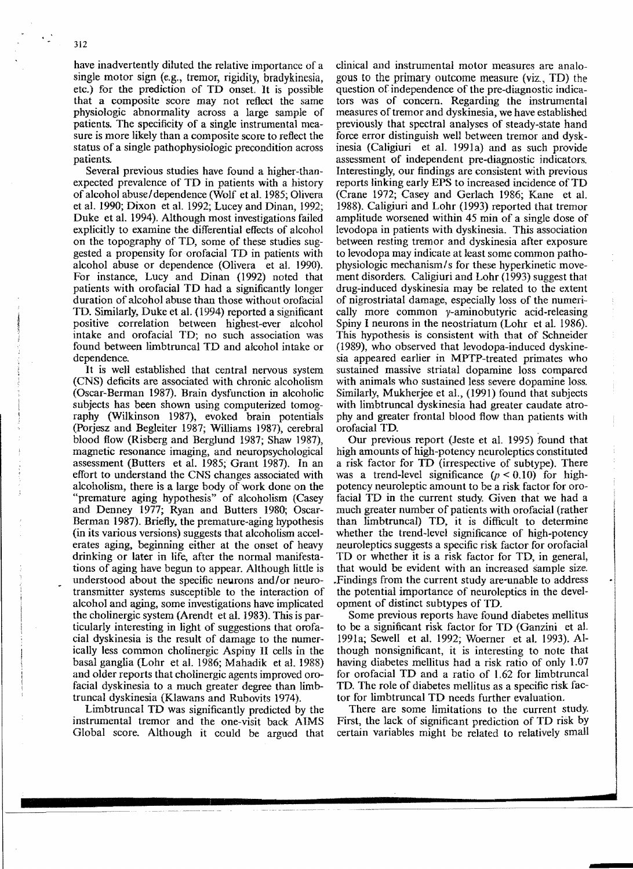have inadvertently diluted the relative importance of a single motor sign (e.g., tremor, rigidity, bradykinesia, etc.) for the prediction of TD onset. It is possible that a composite score may not reflect the same physiologic abnormality across a large sample of patients. The specificity of a single instrumental measure is more likely than a composite score to reflect the status of a single pathophysiologic precondition across patients.

Several previous studies have found a higher-thanexpected prevalence of TD in patients with a history of alcohol abuse/dependence (Wolf et al. 1985; Olivera et al. 1990; Dixon et al. 1992; Lucey and Dinan, 1992; Duke et a1. 1994). Although most investigations failed explicitly to examine the differential effects of alcohol on the topography of TD, some of these studies suggested a propensity for orofacial TD in patients with alcohol abuse or dependence (Olivera et at. 1990). For instance, Lucy and Dinan (1992) noted that patients with orofacial TD had a significantly longer duration of alcohol abuse than those without orofacial TD. Similarly, Duke et a1. (1994) reported a significant positive correlation between highest-ever alcohol intake and orofacial TD; no such association was found between limbtruncal TD and alcohol intake or dependence.

It is well established that central nervous system (CNS) deficits are associated with chronic alcoholism (Oscar-Berman 1987). Brain dysfunction in alcoholic subjects has been shown using computerized tomography (Wilkinson 1987), evoked brain potentials (Porjesz and Begleiter 1987; Williams 1987), cerebral blood flow (Risberg and Berglund 1987; Shaw 1987), magnetic resonance imaging, and neuropsychological assessment (Butters et a1. 1985; Grant 1987). In an effort to understand the CNS changes associated with alcoholism, there is a large body of work done on the "premature aging hypothesis" of alcoholism (Casey and Denney 1977; Ryan and Butters 1980; Oscar-Berman 1987). Briefly. the premature-aging hypothesis (in its various versions) suggests that alcoholism accelerates aging, beginning either at the onset of heavy drinking or later in life, after the normal manifestations of aging have begun to appear. Although little is understood about the specific neurons and/or neurotransmitter systems susceptible to the interaction of alcohol and aging, some investigations have implicated the cholinergic system (Arendt et al. 1983). This is particularly interesting in light of suggestions that orofacial dyskinesia is the result of damage to the numerically less common cholinergic Aspiny II cells in the basal ganglia (Lohr et al. 1986; Mahadik et a1. 1988) and older reports that cholinergic agents improved orofacial dyskinesia to a much greater degree than limbtruncal dyskinesia (Klawans and Rubovits 1974).

Limbtruncal TD was significantly predicted by the instrumental tremor and the one-visit back AIMS Global score. Although it could be argued that clinical and instrumental motor measures are analogous to the primary outcome measure (viz., TD) the question of independence of the pre-diagnostic indicators was of concern. Regarding the instrumental measures of tremor and dyskinesia, we have established previously that spectral analyses of steady-state hand force error distinguish well between tremor and dyskinesia (Caligiuri et a1. 1991a) and as such provide assessment of independent pre-diagnostic indicators. Interestingly, our findings are consistent with previous reports linking early EPS to increased incidence of TD (Crane 1972; Casey and Gerlach 1986; Kane et al. 1988). Caligiuri and Lohr (1993) reported that tremor amplitude worsened within 45 min of a single dose of Ievodopa in patients with dyskinesia. This association between resting tremor and dyskinesia after exposure to levodopa may indicate at least some common pathophysiologic mechanism/s for these hyperkinetic movement disorders. Caligiuri and Lohr (1993) suggest that drug-induced dyskinesia may be related to the extent of nigrostriatal damage, especially loss of the numerically more common y-aminobutyric acid-releasing Spiny I neurons in the neostriatum (Lohr et al. 1986). This hypothesis is consistent with that of Schneider (1989), who observed that levodopa-induced dyskinesia appeared earlier in MPTP-treated primates who sustained massive striatal dopamine loss compared with animals who sustained less severe dopamine loss. Similarly, Mukherjee et al., (1991) found that subjects with limbtruncal dyskinesia had greater caudate atrophy and greater frontal blood flow than patients with orofacial TO.

Our previous report (Jeste et al. 1995) found that high amounts of high-potency neuroleptics constituted a risk factor for TD (irrespective of subtype). There was a trend-level significance  $(p < 0.10)$  for highpotency neuroleptic amount to be a risk factor for oro~ facial TD in the current study. Given that we had a much greater number of patients with orofacial (rather than limbtruncal) TD, it is difficult to determine whether the trend-level significance of high-potency neuroleptics suggests a specific risk factor for orofaciaI TD or whether it is a risk factor for TD, in general, that would be evident with an increased sample size. .Findings from the current study are-unable to address the potential importance of neuroleptics in the development of distinct SUbtypes of TD.

Some previous reports have found diabetes mellitus to be a significant risk factor for TD (Ganzini et al. 1991a; Sewell et al. 1992; Woerner et aL 1993). Although nonsignificant, it is interesting to note that having diabetes mellitus had a risk ratio of only 1.07 for orofacial TD and a ratio of 1.62 for limbtruncal TO. The role of diabetes mellitus as a specific risk factor for limbtruncaI TD needs further evaluation.

There are some limitations to the current study. First, the lack of significant prediction of TD risk by certain variables might be related to relatively small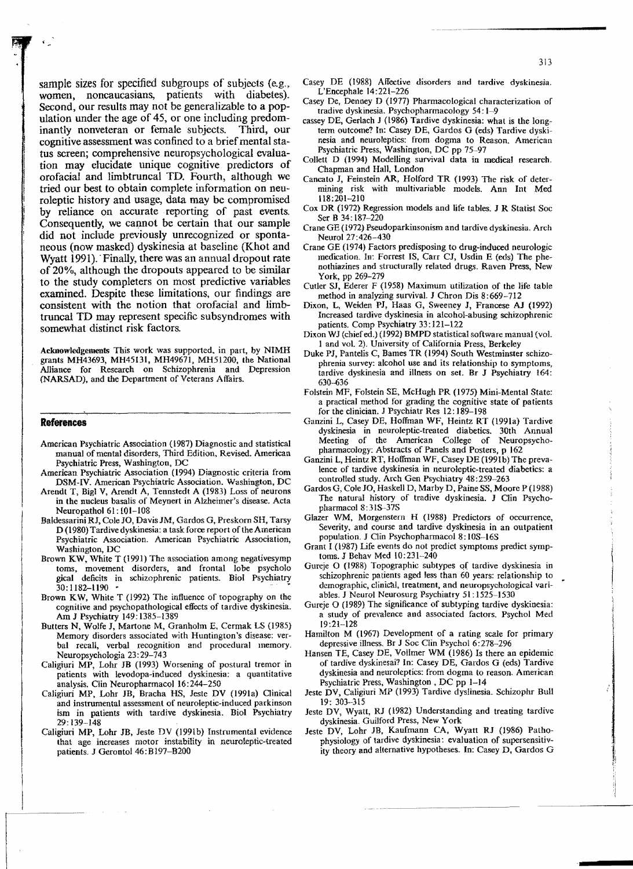sample sizes for specified subgroups of subjects (e.g., women, noncaucasians, patients with diabetes). Second, our results may not be generalizable to a population under the age of 45, or one including predom-<br>inantly nonveteran or female subjects. Third, our inantly nonveteran or female subjects. cognitive assessment was confined to a brief mental status screen; comprehensive neuropsychological evaluation may elucidate unique cognitive predictors of orofacial and limbtruncal TO. Fourth, although we tried our best to obtain complete information on neuroleptic history and usage, data may be compromised by reliance on accurate reporting of past events. Consequently, we cannot be certain that our sample did not include previously unrecognized or spontaneous (now masked) dyskinesia at baseline (Khot and Wyatt 1991). Finally, there was an annual dropout rate of 20%, although the dropouts appeared to be similar to the study completers on most predictive variables examined. Despite these limitations, our findings are consistent with the notion that orofaciaI and limbtruncal TO may represent specific subsyndromes with somewhat distinct risk factors.

Acknowledgements This work was supported. in part, by NIMH grants MH43693, MH45131, MH49671, MH51200, the National Alliance for Research on Schizophrenia and Depression (NARSAD), and the Department of Veterans Affairs.

## **References**

- American Psychiatric Association (l987) Diagnostic and statistical manual of mental disorders, Third Edition, Revised. American Psychiatric Press, Washington, DC
- American Psychiatric Association (1994) Diagnostic criteria from DSM-IV. American Psychiatric Association. Washington, DC
- Arendt T, Bigl V, Arendt A, Tennstedt A (1983) Loss of neurons in the nucleus basalis of Meynert in Alzheimer's disease. Acta Neuropathol 61:101-108
- Ba!dessarini RI, Cole 10, Davis JM, Gardos G, Preskorn SH, Tarsy D (1980) Tardive dyskinesia: a task force report of the American Psychiatric Association. American Psychiatric Association, Washington, DC
- Brown KW, White T (1991) The association among negativesymp toms, movement disorders, and frontal lobe psycholo gical deficits in schizophrenic patients. Bioi Psychiatry 30: 1182-1190
- Brown KW, White T (1992) The influence of topography on the cognitive and psychopathological effects of tardive dyskinesia. Am J Psychiatry 149: 1385-1389
- Butters N, Wolfe I, Martone M, Granholm E, Cermak LS (1985) Memory disorders associated with Huntington's disease: verbal recall, verbal recognition and procedural memory. Neuropsychologia 23: 29-743
- Caligiuri MP, Lohr IB (1993) Worsening of postural tremor in patients with levodopa-induced dyskinesia: a quantitative analysis. Clin Neuropharmacol 16:244-250
- Caligiuri MP, Lohr JB, Bracha HS, Jeste DV (1991a) Clinical and instrumental assessment of neuroleptic-induced parkinson ism in patients with tardive dyskinesia. Biol Psychiatry 29: 139-148
- Caligiuri MP, Lohr JB, Jeste DV (l991b) Instrumental evidence that age increases motor instability in neuroleptic-treated patients. J Gerontol 46:B197-B200
- Casey DE (1988) Affective disorders and tardive dyskinesia. L'Encepha\e 14:221-226
- Casey De, Denney D (1977) Pharmacological characterization of tradive dyskinesia. Psychopharmacology 54: 1-9
- cassey DE, Gerlach J (1986) Tardive dyskinesia: what is the longterm outcome? In: Casey DE, Gardos G (eds) Tardive dyskinesia and neuroleptics: from dogma to Reason. American Psychiatric Press, Washington, DC pp 75-97
- Collett D (1994) Modelling survival data in medical research. Chapman and Hall, London
- Cancato I, Feinstein AR, Holford TR (1993) The risk of determining risk with multivariable models. Ann Int Med 118:201-210
- Cox DR (1972) Regression models and life tables. J R Statist Soc Ser B 34: 187-220
- Crane GE (1972) Pseudoparkinsonism and tardive dyskinesia. Arch Neural 27:426-430
- Crane GE (1974) Factors predisposing to drug-induced neurologic medication. In: Forrest IS, Carr CJ, Usdin E (ed5) The phenothiazines and structurally related drugs. Raven Press, New York, pp 269-279
- Cutler SI, Ederer F (1958) Maximum utilizalion of the life table method in analyzing survival. I Chron Dis 8:669-712
- Dixon, L, Weiden PI, Haas G, Sweeney J, Francese AJ (1992) Increased tardive dyskinesia in alcohol-abusing schizophrenic patients. Comp Psychiatry 33: 121-122
- Dixon WJ (chief ed.) (1992) BMPD statistical software manual (vol. 1 and voL 2). University of California Press, Berkeley
- Duke *PI,* Pantelis C, Barnes TR {I 994) South Westminster schizophrenia survey: alcohol use and its relationship to symptoms, tardive dyskinesia and illness on set. Br J Psychiatry 164: 630-636
- Foistein MF, Folstein SE, McHugh PR (1975) Mini-Mental State: a practical method for grading the cognitive state of patients for the clinician. J Psychiatr Res 12: 189-198
- Ganzini L, Casey DE, Hoffman WF, Heintz RT (1991a) Tardive dyskinesia in neuroleptic-treated diabetics. 30th Annual Meeting of the American CoIlege of Neuropsychopharmacology: Abstracts of Panels and Posters, p 162
- Ganzini L, Heintz RT, Hoffman WF, Casey DE (l99Ib) The prevalence of tardive dyskinesia in neuroleptic-treated diabetics: a controlled study. Arch Gen Psychiatry 48:259-263
- Gardos G, Cole 10, Haskell D, Marby D, Paine S8, Moore P (1988) The natural history of tradive dyskinesia. J Clin PsychopharmacoI8:315-37S
- Glazer WM, Morgenstern H (1988) Predictors of occurrence, Severity, and course and tardive dyskinesia in an outpatient population. I Clin Psychopharmacol 8: IOS-16S
- Grant I (1987) Life events do not predict symptoms predict symptoms. J Behav Med 10:231-240
- Gureje O (1988) Topographic subtypes of tardive dyskinesia in schizophrenic patients aged less than 60 years: relationship to demographic, clinical, treatment, and neuropsychological variabies. I Neurol Neurosurg Psychiatry 51: 1525-1530
- Gureje O (1989) The significance of subtyping tardive dyskinesia: a study of prevalence and associated factors. Psychol Med 19:21-128
- Hamilton M (1967) Development of a rating scale for primary depressive illness. Br J Soc Clin Psychol 6:278-296
- Hansen TE, Casey DE, Vollmer WM (1986) Is there an epidemic of tardive dyskinesai? In: Casey DE, Gardos G (eds) Tardive dyskinesia and neuroleptics: from dogma to reason. American Psychiatric Press, Washington, DC pp 1-14
- leste DV, Caligiuri MP (1993) Tardive dysJinesia. Schizophr Bull 19: 303-315
- Icste DV, Wyatt, RI (1982) Understanding and treating tardive dyskinesia. Guilford Press, New York
- Jeste DV, Lohr JB, Kaufmann CA, Wyatt RJ (1986) Pathophysiology of tardive dyskinesia: evaluation of supersensitiv ity theory and alternative hypotheses. In: Casey D, Gardos G